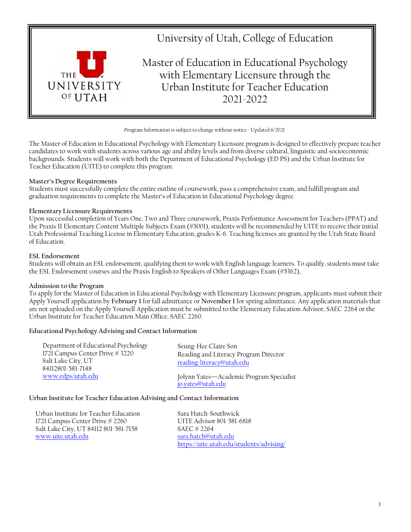

Program Information is subject to change without notice - Updated 6/2021

The Master of Education in Educational Psychology with Elementary Licensure program is designed to effectively prepare teacher candidates to work with students across various age and ability levels and from diverse cultural, linguistic and socioeconomic backgrounds. Students will work with both the Department of Educational Psychology (ED PS) and the Urban Institute for Teacher Education (UITE) to complete this program.

### **Master's Degree Requirements**

Students must successfully complete the entire outline of coursework, pass a comprehensive exam, and fulfill program and graduation requirements to complete the Master's of Education in Educational Psychology degree.

### **Elementary Licensure Requirements**

Upon successful completion of Years One, Two and Three coursework, Praxis Performance Assessment for Teachers (PPAT) and the Praxis II Elementary Content Multiple Subjects Exam (#5001), students will be recommended by UITE to receive their initial Utah Professional Teaching License in Elementary Education, grades K-6. Teaching licenses are granted by the Utah State Board of Education.

### **ESL Endorsement**

Students will obtain an ESL endorsement, qualifying them to work with English language learners. To qualify, students must take the ESL Endorsement courses and the Praxis English to Speakers of Other Languages Exam (#5362),

#### **Admission to the Program**

To apply for the Master of Education in Educational Psychology with Elementary Licensure program, applicants must submit their Apply Yourself application by **February 1** for fall admittance or **November 1** for spring admittance. Any application materials that are not uploaded on the Apply Yourself Application must be submitted to the Elementary Education Advisor, SAEC 2264 or the Urban Institute for Teacher Education Main Office, SAEC 2260.

## **Educational Psychology Advising and Contact Information**

| Department of Educational Psychology<br>1721 Campus Center Drive # 3220<br>Salt Lake City, UT<br>84112801-581-7148<br>www.edps/utah.edu | Seung-Hee Claire Son<br>Reading and Literacy Program Director<br>reading-literacy@utah.edu |
|-----------------------------------------------------------------------------------------------------------------------------------------|--------------------------------------------------------------------------------------------|
|                                                                                                                                         | Jolynn Yates-Academic Program Specialist<br>jo.yates@utah.edu                              |

#### **Urban Institute for Teacher Education Advising and Contact Information**

Urban Institute for Teacher Education 1721 Campus Center Drive # 2260 Salt Lake City, UT 84112 801-581-7158 [www.uite.utah.edu](http://www.uite.utah.edu/)

Sara Hatch-Southwick UITE Advisor 801-581-6818 SAEC # 2264 [sara.hatch@utah.edu](mailto:sara.hatch@utah.edu) <https://uite.utah.edu/students/advising/>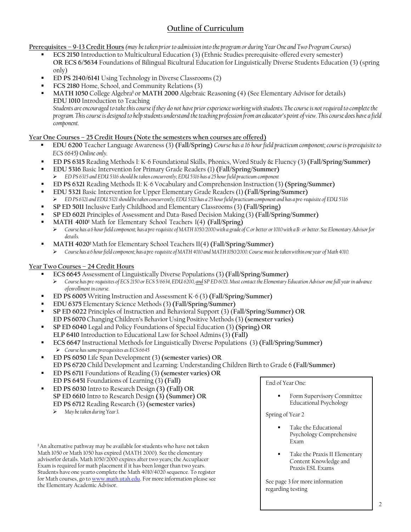# **Outline of Curriculum**

Prerequisites - 9-13 Credit Hours (may be taken prior to admission into the program or during Year One and Two Program Courses)

- **ECS 2150** Introduction to Multicultural Education (3) (Ethnic Studies prerequisite-offered every semester) **OR ECS 6/5634** Foundations of Bilingual Bicultural Education for Linguistically Diverse Students Education (3) (spring only)
- **ED PS 2140/6141** Using Technology in Diverse Classrooms(2)
- **FCS 2180** Home, School, and Community Relations (3)
- **MATH 1050** College Algebra**‡** or **MATH 2000** Algebraic Reasoning (4) (See Elementary Advisor for details) **EDU 1010** Introduction to Teaching

*Students are encouraged to take this course if they do not have prior experience working with students. The course is not required to complete the program. This course is designed to help students understand the teaching profession from an educator's point of view. This course does have a field component.*

# **Year One Courses – 25 Credit Hours (Note the semesters when courses are offered)**

- **EDU 6200** Teacher Language Awareness (3) **(Fall/Spring)** *Course has a 16 hour field practicum component; course is prerequisite to ECS 6645) Online only.*
- **ED PS 6315** Reading Methods I: K-6 Foundational Skills, Phonics, Word Study & Fluency (3) **(Fall/Spring/Summer)**
- **EDU 5316** Basic Intervention for Primary Grade Readers (1) **(Fall/Spring/Summer)** *ED PS 6315 and EDU 5316 should betaken concurrently; EDU 5316 has a 25 hourfield practicum component*
- **ED PS 6321** Reading Methods II: K-6 Vocabulary and Comprehension Instruction (3) **(Spring/Summer)**
- **EDU 5321** Basic Intervention for Upper Elementary Grade Readers (1) **(Fall/Spring/Summer)** > ED PS 6321 and EDU 5321 should be taken concurrently; EDU 5321 has a 25 hour field practicum component and has a pre-requisite of EDU 5316
- **SP ED 5011** Inclusive Early Childhood and Elementary Classrooms (3) **(Fall/Spring)**
- **SP ED 6021** Principles of Assessment and Data-Based Decision Making (3) **(Fall/Spring/Summer)**
- **MATH 4010‡** Math for Elementary School Teachers I(4) **(Fall/Spring)**
- *Course has a 6 hourfield component; has a pre-requisite ofMATH1050/2000 with a grade of C or better or1010 with a B- or better. See Elementary Advisorfor details.*
- **MATH 4020‡**Math for Elementary School Teachers II(4) **(Fall/Spring/Summer)** *Course has a 6 hourfield component; has a pre-requisite ofMATH4010 and MATH1050/2000. Course must betakenwithin one year of Math 4010.*

# **Year Two Courses – 24 Credit Hours**

- **ECS 6645** Assessment of Linguistically Diverse Populations (3) **(Fall/Spring/Summer)**
	- *Course has pre-requisites of ECS 2150 or ECS 5/6634, EDU 6200, and SP ED 6021. Must contact the Elementary Education Advisor one full year in advance ofenrollment in course.*
- **ED PS 6005** Writing Instruction and Assessment K-6 (3) **(Fall/Spring/Summer)**
- **EDU 6375** Elementary Science Methods (3) **(Fall/Spring/Summer)**
- **SP ED 6022** Principles of Instruction and Behavioral Support (3) (**Fall/Spring/Summer) OR ED PS 6070** Changing Children's Behavior Using Positive Methods (3) **(semester varies)**
- **SP ED 6040** Legal and Policy Foundations of Special Education (3) **(Spring) OR ELP 6410** Introduction to Educational Law for School Admins(3) **(Fall)**
- **ECS 6647** Instructional Methods for Linguistically Diverse Populations (3) **(Fall/Spring/Summer)** *Course hassame prerequisites as ECS 6645*
- **ED PS 6050** Life Span Development (3) **(semester varies) OR ED PS 6720** Child Development and Learning: Understanding Children Birth to Grade 6 **(Fall/Summer)**
- **ED PS 6711** Foundations of Reading (3) **(semester varies) OR ED PS 6451** Foundations of Learning (3) **(Fall)**
- **ED PS 6030** Intro to Research Design **(3) (Fall) OR SP ED 6610** Intro to Research Design **(3) (Summer) OR ED PS 6712** Reading Research (3) **(semester varies)**
	- *May betaken during Year 3*.

**‡** An alternative pathway may be available for students who have not taken Math 1050 or Math 1050 has expired (MATH 2000). See the elementary advisorfor details. Math 1050/2000 expires after two years; the Accuplacer Exam is required for math placement if it has been longer than two years. Students have one yearto complete the Math 4010/4020 sequence. To register for Math courses, go to [www.math.utah.edu. F](http://www.math.utah.edu/)or more information please see the Elementary Academic Advisor.

End of Year One:

 Form Supervisory Committee Educational Psychology

Spring of Year 2

- Take the Educational Psychology Comprehensive Exam
- Take the Praxis II Elementary Content Knowledge and Praxis ESL Exams

See page 3 for more information regarding testing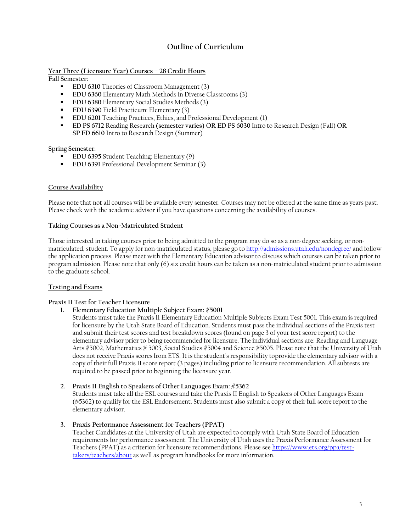# **Outline of Curriculum**

### **Year Three (Licensure Year) Courses – 28 Credit Hours**

**Fall Semester:**

- **EDU 6310** Theories of Classroom Management (3)
- **EDU 6360** Elementary Math Methods in Diverse Classrooms (3)
- **EDU 6380** Elementary Social Studies Methods (3)
- **EDU 6390** Field Practicum: Elementary (3)
- **EDU 6201** Teaching Practices, Ethics, and Professional Development (1)
- **ED PS 6712** Reading Research **(semester varies) OR ED PS 6030** Intro to Research Design (Fall) **OR SP ED 6610** Intro to Research Design (Summer)

**Spring Semester:**

- **EDU 6395** Student Teaching: Elementary (9)
- **EDU 6391** Professional Development Seminar (3)

### **Course Availability**

Please note that not all courses will be available every semester. Courses may not be offered at the same time as years past. Please check with the academic advisor if you have questions concerning the availability of courses.

#### **Taking Courses as a Non-Matriculated Student**

Those interested in taking courses prior to being admitted to the program may do so as a non-degree seeking, or nonmatriculated, student. To apply for non-matriculated status, please go to<http://admissions.utah.edu/nondegree/> and follow the application process. Please meet with the Elementary Education advisor to discuss which courses can be taken prior to program admission. Please note that only (6) six credit hours can be taken as a non-matriculated student prior to admission to the graduate school.

#### **Testing and Exams**

#### **Praxis II Test for Teacher Licensure**

**1. Elementary Education Multiple Subject Exam: #5001**

Students must take the Praxis II Elementary Education Multiple Subjects Exam Test 5001. This exam is required for licensure by the Utah State Board of Education. Students must pass the individual sections of the Praxis test and submit their test scores and test breakdown scores (found on page 3 of your test score report) to the elementary advisor prior to being recommended for licensure. The individual sections are: Reading and Language Arts #5002, Mathematics # 5003, Social Studies #5004 and Science #5005. Please note that the University of Utah does not receive Praxis scores from ETS. It is the student's responsibility toprovide the elementary advisor with a copy of their full Praxis II score report (3 pages) including prior to licensure recommendation. All subtests are required to be passed prior to beginning the licensure year.

#### **2. Praxis II English to Speakers of Other Languages Exam: #5362**

Students must take all the ESL courses and take the Praxis II English to Speakers of Other Languages Exam (#5362) to qualify for the ESL Endorsement. Students must also submit a copy of their full score report to the elementary advisor.

**3. Praxis Performance Assessment for Teachers (PPAT)**

Teacher Candidates at the University of Utah are expected to comply with Utah State Board of Education requirements for performance assessment. The University of Utah uses the Praxis Performance Assessment for Teachers (PPAT) as a criterion for licensure recommendations. Please se[e https://www.ets.org/ppa/test](https://www.ets.org/ppa/test-takers/teachers/about)[takers/teachers/about](https://www.ets.org/ppa/test-takers/teachers/about) as well as program handbooks for more information.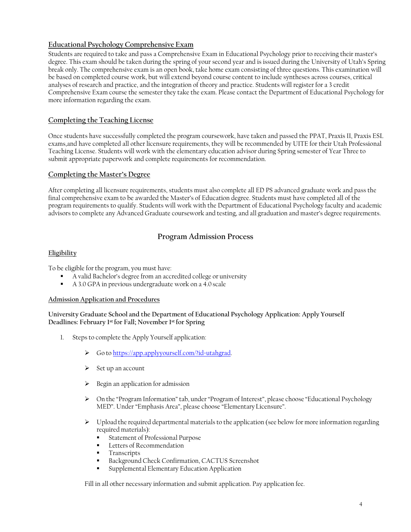# **Educational Psychology Comprehensive Exam**

Students are required to take and pass a Comprehensive Exam in Educational Psychology prior to receiving their master's degree. This exam should be taken during the spring of your second year and is issued during the University of Utah's Spring break only. The comprehensive exam is an open book, take home exam consisting of three questions. This examination will be based on completed course work, but will extend beyond course content to include syntheses across courses, critical analyses of research and practice, and the integration of theory and practice. Students will register for a 3 credit Comprehensive Exam course the semester they take the exam. Please contact the Department of Educational Psychology for more information regarding the exam.

# **Completing the Teaching License**

Once students have successfully completed the program coursework, have taken and passed the PPAT, Praxis II, Praxis ESL exams,and have completed all other licensure requirements, they will be recommended by UITE for their Utah Professional Teaching License. Students will work with the elementary education advisor during Spring semester of Year Three to submit appropriate paperwork and complete requirements for recommendation.

# **Completing the Master's Degree**

After completing all licensure requirements, students must also complete all ED PS advanced graduate work and pass the final comprehensive exam to be awarded the Master's of Education degree. Students must have completed all of the program requirements to qualify. Students will work with the Department of Educational Psychology faculty and academic advisors to complete any Advanced Graduate coursework and testing, and all graduation and master's degree requirements.

# **Program Admission Process**

## **Eligibility**

To be eligible for the program, you must have:

- A valid Bachelor's degree from an accredited college or university
- A 3.0 GPA in previous undergraduate work on a 4.0 scale

## **Admission Application and Procedures**

**University Graduate School and the Department of Educational Psychology Application: Apply Yourself Deadlines: February 1st for Fall; November 1st for Spring**

- 1. Steps to complete the Apply Yourself application:
	- Go to [https://app.applyyourself.com/?id=utahgrad.](https://app.applyyourself.com/?id=utahgrad)
	- $\triangleright$  Set up an account
	- $\triangleright$  Begin an application for admission
	- On the "Program Information" tab, under"Program of Interest", please choose "Educational Psychology MED". Under "Emphasis Area", please choose "ElementaryLicensure".
	- $\triangleright$  Upload the required departmental materials to the application (see below for more information regarding required materials):
		- Statement of Professional Purpose
		- Letters of Recommendation
		- **Transcripts**
		- Background Check Confirmation, CACTUS Screenshot
		- Supplemental Elementary Education Application

Fill in all other necessary information and submit application. Pay application fee.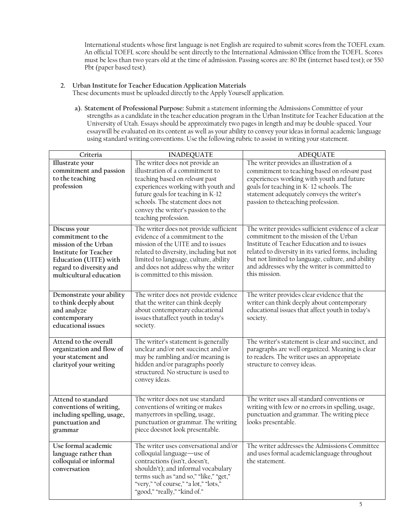International students whose first language is not English are required to submit scores from the TOEFL exam. An official TOEFL score should be sent directly to the International Admission Office from the TOEFL. Scores must be less than two years old at the time of admission. Passing scores are: 80 Ibt (internet based test); or 550 Pbt (paper based test).

**2. Urban Institute for Teacher Education Application Materials**

These documents must be uploaded directly to the Apply Yourself application.

**a). Statement of Professional Purpose:** Submit a statement informing the Admissions Committee of your strengths as a candidate in the teacher education program in the Urban Institute for Teacher Education at the University of Utah. Essays should be approximately two pages in length and may be double-spaced. Your essaywill be evaluated on its content as well as your ability to convey your ideas in formal academic language using standard writing conventions. Use the following rubric to assist in writing your statement.

| Criteria                                                                                                                                                                 | <b>INADEQUATE</b>                                                                                                                                                                                                                                                                | <b>ADEQUATE</b>                                                                                                                                                                                                                                                                                                           |
|--------------------------------------------------------------------------------------------------------------------------------------------------------------------------|----------------------------------------------------------------------------------------------------------------------------------------------------------------------------------------------------------------------------------------------------------------------------------|---------------------------------------------------------------------------------------------------------------------------------------------------------------------------------------------------------------------------------------------------------------------------------------------------------------------------|
| Illustrate your<br>commitment and passion<br>to the teaching<br>profession                                                                                               | The writer does not provide an<br>illustration of a commitment to<br>teaching based on relevant past<br>experiences working with youth and<br>future goals for teaching in K-12<br>schools. The statement does not<br>convey the writer's passion to the<br>teaching profession. | The writer provides an illustration of a<br>commitment to teaching based on relevant past<br>experiences working with youth and future<br>goals for teaching in K-12 schools. The<br>statement adequately conveys the writer's<br>passion to theteaching profession.                                                      |
| Discuss your<br>commitment to the<br>mission of the Urban<br><b>Institute for Teacher</b><br>Education (UITE) with<br>regard to diversity and<br>multicultural education | The writer does not provide sufficient<br>evidence of a commitment to the<br>mission of the UITE and to issues<br>related to diversity, including but not<br>limited to language, culture, ability<br>and does not address why the writer<br>is committed to this mission.       | The writer provides sufficient evidence of a clear<br>commitment to the mission of the Urban<br>Institute of Teacher Education and to issues<br>related to diversity in its varied forms, including<br>but not limited to language, culture, and ability<br>and addresses why the writer is committed to<br>this mission. |
| Demonstrate your ability<br>to think deeply about<br>and analyze<br>contemporary<br>educational issues                                                                   | The writer does not provide evidence<br>that the writer can think deeply<br>about contemporary educational<br>issues thataffect youth in today's<br>society.                                                                                                                     | The writer provides clear evidence that the<br>writer can think deeply about contemporary<br>educational issues that affect youth in today's<br>society.                                                                                                                                                                  |
| Attend to the overall<br>organization and flow of<br>your statement and<br>clarity of your writing                                                                       | The writer's statement is generally<br>unclear and/or not succinct and/or<br>may be rambling and/or meaning is<br>hidden and/or paragraphs poorly<br>structured. No structure is used to<br>convey ideas.                                                                        | The writer's statement is clear and succinct, and<br>paragraphs are well organized. Meaning is clear<br>to readers. The writer uses an appropriate<br>structure to convey ideas.                                                                                                                                          |
| Attend to standard<br>conventions of writing,<br>including spelling, usage,<br>punctuation and<br>grammar                                                                | The writer does not use standard<br>conventions of writing or makes<br>manyerrors in spelling, usage,<br>punctuation or grammar. The writing<br>piece doesnot look presentable.                                                                                                  | The writer uses all standard conventions or<br>writing with few or no errors in spelling, usage,<br>punctuation and grammar. The writing piece<br>looks presentable.                                                                                                                                                      |
| Use formal academic<br>language rather than<br>colloquial or informal<br>conversation                                                                                    | The writer uses conversational and/or<br>colloquial language-use of<br>contractions (isn't, doesn't,<br>shouldn't); and informal vocabulary<br>terms such as "and so," "like," "get,"<br>"very," "of course," "a lot," "lots,"<br>"good," "really," "kind of."                   | The writer addresses the Admissions Committee<br>and uses formal academiclanguage throughout<br>the statement.                                                                                                                                                                                                            |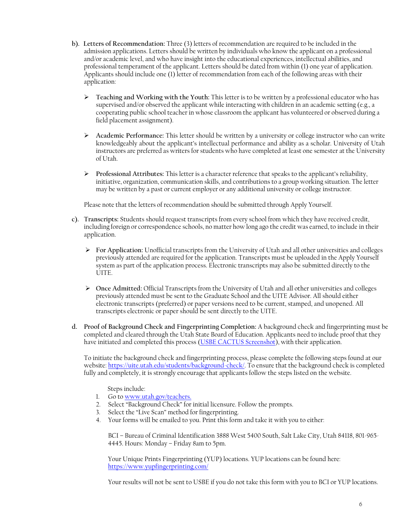- **b). Letters of Recommendation:** Three (3) letters of recommendation are required to be included in the admission applications. Letters should be written by individuals who know the applicant on a professional and/or academic level, and who have insight into the educational experiences, intellectual abilities, and professional temperament of the applicant. Letters should be dated from within (1) one year of application. Applicants should include one (1) letter of recommendation from each of the following areas with their application:
	- **Teaching and Working with the Youth:** This letter is to be written by a professional educator who has supervised and/or observed the applicant while interacting with children in an academic setting (e.g., a cooperating public school teacher in whose classroom the applicant has volunteered or observed during a field placement assignment).
	- **Academic Performance:** This letter should be written by a university or college instructor who can write knowledgeably about the applicant's intellectual performance and ability as a scholar. University of Utah instructors are preferred as writers for students who have completed at least one semester at the University of Utah.
	- **Professional Attributes:** This letter is a character reference that speaks to the applicant's reliability, initiative, organization, communication skills, and contributions to a group working situation. The letter may be written by a past or current employer or any additional university or college instructor.

Please note that the letters of recommendation should be submitted through Apply Yourself.

- **c). Transcripts:** Students should request transcripts from every school from which they have received credit, including foreign or correspondence schools, no matter how long ago the credit was earned, to include in their application.
	- **For Application:** Unofficial transcripts from the University of Utah and all other universities and colleges previously attended are required for the application. Transcripts must be uploaded in the Apply Yourself system as part of the application process. Electronic transcripts may also be submitted directly to the UITE.
	- **Once Admitted:** Official Transcripts from the University of Utah and all other universities and colleges previously attended must be sent to the Graduate School and the UITE Advisor. All should either electronic transcripts (preferred) or paper versions need to be current, stamped, and unopened. All transcripts electronic or paper should be sent directly to the UITE.
- **d. Proof of Background Check and Fingerprinting Completion:** A background check and fingerprinting must be completed and cleared through the Utah State Board of Education. Applicants need to include proof that they have initiated and completed this process [\(USBE CACTUS Screenshot\)](https://d182hggomw8pjd.cloudfront.net/wp-content/uploads/sites/11/2020/09/30105714/CACTUS-ID-and-Fingerprint-Verification.pdf), with their application.

To initiate the background check and fingerprinting process, please complete the following steps found at our website: [https://uite.utah.edu/students/background-check/.](https://uite.utah.edu/students/background-check/) To ensure that the background check is completed fully and completely, it is strongly encourage that applicants follow the steps listed on the website.

- Steps include:
- 1. Go to [www.utah.gov/teachers.](http://www.utah.gov/teachers)
- 2. Select "Background Check" for initial licensure. Follow the prompts.
- 3. Select the "Live Scan" method for fingerprinting.
- 4. Your forms will be emailed to you. Print this form and take it with you to either:

BCI – Bureau of Criminal Identification 3888 West 5400 South, Salt Lake City, Utah 84118, 801-965- 4445. Hours: Monday – Friday 8am to 5pm.

Your Unique Prints Fingerprinting (YUP) locations. YUP locations can be found here: <https://www.yupfingerprinting.com/>

Your results will not be sent to USBE if you do not take this form with you to BCI or YUP locations.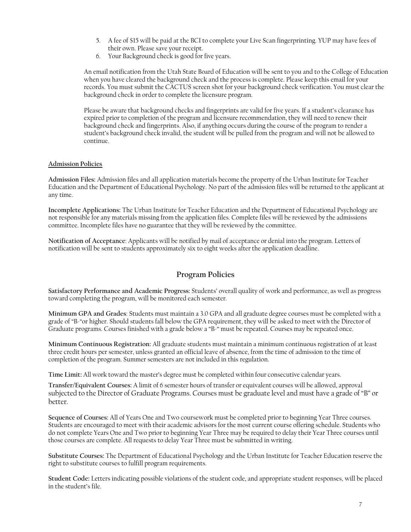- 5. A fee of \$15 will be paid at the BCI to complete your Live Scan fingerprinting. YUP may have fees of their own. Please save your receipt.
- 6. Your Background check is good for five years.

An email notification from the Utah State Board of Education will be sent to you and to the College of Education when you have cleared the background check and the process is complete. Please keep this email for your records. You must submit the CACTUS screen shot for your background check verification. You must clear the background check in order to complete the licensure program.

Please be aware that background checks and fingerprints are valid for five years. If a student's clearance has expired prior to completion of the program and licensure recommendation, they will need to renew their background check and fingerprints. Also, if anything occurs during the course of the program to render a student's background check invalid, the student will be pulled from the program and will not be allowed to continue.

### **Admission Policies**

**Admission Files:** Admission files and all application materials become the property of the Urban Institute for Teacher Education and the Department of Educational Psychology. No part of the admission files will be returned to the applicant at any time.

**Incomplete Applications:** The Urban Institute for Teacher Education and the Department of Educational Psychology are not responsible for any materials missing from the application files. Complete files will be reviewed by the admissions committee. Incomplete files have no guarantee that they will be reviewed by the committee.

**Notification of Acceptance**: Applicants will be notified by mail of acceptance or denial into the program. Letters of notification will be sent to students approximately six to eight weeks after the application deadline.

# **Program Policies**

**Satisfactory Performance and Academic Progress:** Students' overall quality of work and performance, as well as progress toward completing the program, will be monitored each semester.

**Minimum GPA and Grades**: Students must maintain a 3.0 GPA and all graduate degree courses must be completed with a grade of "B-"or higher. Should students fall below the GPA requirement, they will be asked to meet with the Director of Graduate programs. Courses finished with a grade below a "B-" must be repeated. Courses may be repeated once.

**Minimum Continuous Registration:** All graduate students must maintain a minimum continuous registration of at least three credit hours per semester, unless granted an official leave of absence, from the time of admission to the time of completion of the program. Summer semesters are not included in this regulation.

**Time Limit:** All work toward the master's degree must be completed within four consecutive calendar years.

**Transfer/Equivalent Courses:** A limit of 6 semester hours of transfer or equivalent courses will be allowed, approval subjected to the Director of Graduate Programs. Courses must be graduate level and must have a grade of "B" or better.

**Sequence of Courses:** All of Years One and Two coursework must be completed prior to beginning Year Three courses. Students are encouraged to meet with their academic advisors for the most current course offering schedule. Students who do not complete Years One and Two prior to beginning Year Three may be required to delay their Year Three courses until those courses are complete. All requests to delay Year Three must be submitted in writing.

**Substitute Courses:** The Department of Educational Psychology and the Urban Institute for Teacher Education reserve the right to substitute courses to fulfill program requirements.

**Student Code:** Letters indicating possible violations of the student code, and appropriate student responses, will be placed in the student's file.